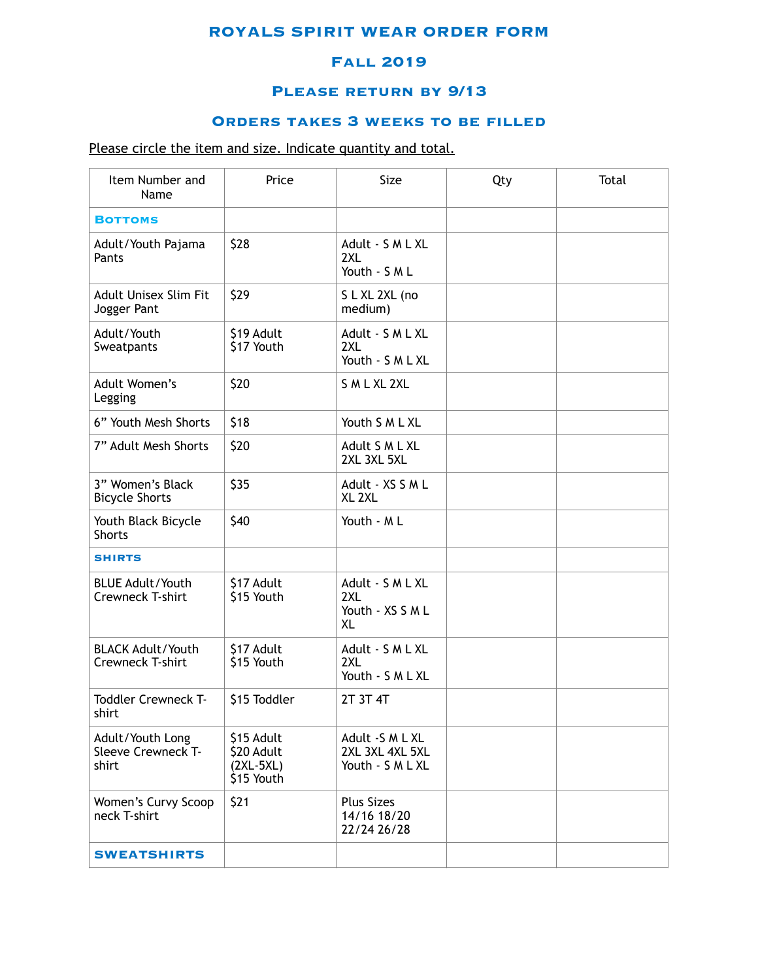### **ROYALS SPIRIT WEAR ORDER FORM**

## **Fall 2019**

### **Please return by 9/13**

# **Orders takes 3 weeks to be filled**

## Please circle the item and size. Indicate quantity and total.

| Item Number and<br>Name                         | Price                                                 | Size<br>Qty                                            |  | Total |
|-------------------------------------------------|-------------------------------------------------------|--------------------------------------------------------|--|-------|
| <b>BOTTOMS</b>                                  |                                                       |                                                        |  |       |
| Adult/Youth Pajama<br>Pants                     | \$28                                                  | Adult - S M L XL<br>2XL<br>Youth - S M L               |  |       |
| Adult Unisex Slim Fit<br>Jogger Pant            | \$29                                                  | S L XL 2XL (no<br>medium)                              |  |       |
| Adult/Youth<br>Sweatpants                       | \$19 Adult<br>\$17 Youth                              | Adult - S M L XL<br>2XL<br>Youth - S M L XL            |  |       |
| Adult Women's<br>Legging                        | \$20                                                  | S M L XL 2XL                                           |  |       |
| 6" Youth Mesh Shorts                            | \$18                                                  | Youth S M L XL                                         |  |       |
| 7" Adult Mesh Shorts                            | \$20                                                  | Adult S M L XL<br>2XL 3XL 5XL                          |  |       |
| 3" Women's Black<br><b>Bicycle Shorts</b>       | \$35                                                  | Adult - XS S M L<br>XL <sub>2XL</sub>                  |  |       |
| Youth Black Bicycle<br><b>Shorts</b>            | \$40                                                  | Youth - ML                                             |  |       |
| <b>SHIRTS</b>                                   |                                                       |                                                        |  |       |
| <b>BLUE Adult/Youth</b><br>Crewneck T-shirt     | \$17 Adult<br>\$15 Youth                              | Adult - S M L XL<br>2XL<br>Youth - XS S M L<br>XL      |  |       |
| <b>BLACK Adult/Youth</b><br>Crewneck T-shirt    | \$17 Adult<br>\$15 Youth                              | Adult - S M L XL<br>2XL<br>Youth - S M L XL            |  |       |
| <b>Toddler Crewneck T-</b><br>shirt             | \$15 Toddler                                          | 2T 3T 4T                                               |  |       |
| Adult/Youth Long<br>Sleeve Crewneck T-<br>shirt | \$15 Adult<br>\$20 Adult<br>$(2XL-5XL)$<br>\$15 Youth | Adult -S M L XL<br>2XL 3XL 4XL 5XL<br>Youth - S M L XL |  |       |
| Women's Curvy Scoop<br>neck T-shirt             | \$21                                                  | <b>Plus Sizes</b><br>14/16 18/20<br>22/24 26/28        |  |       |
| <b>SWEATSHIRTS</b>                              |                                                       |                                                        |  |       |